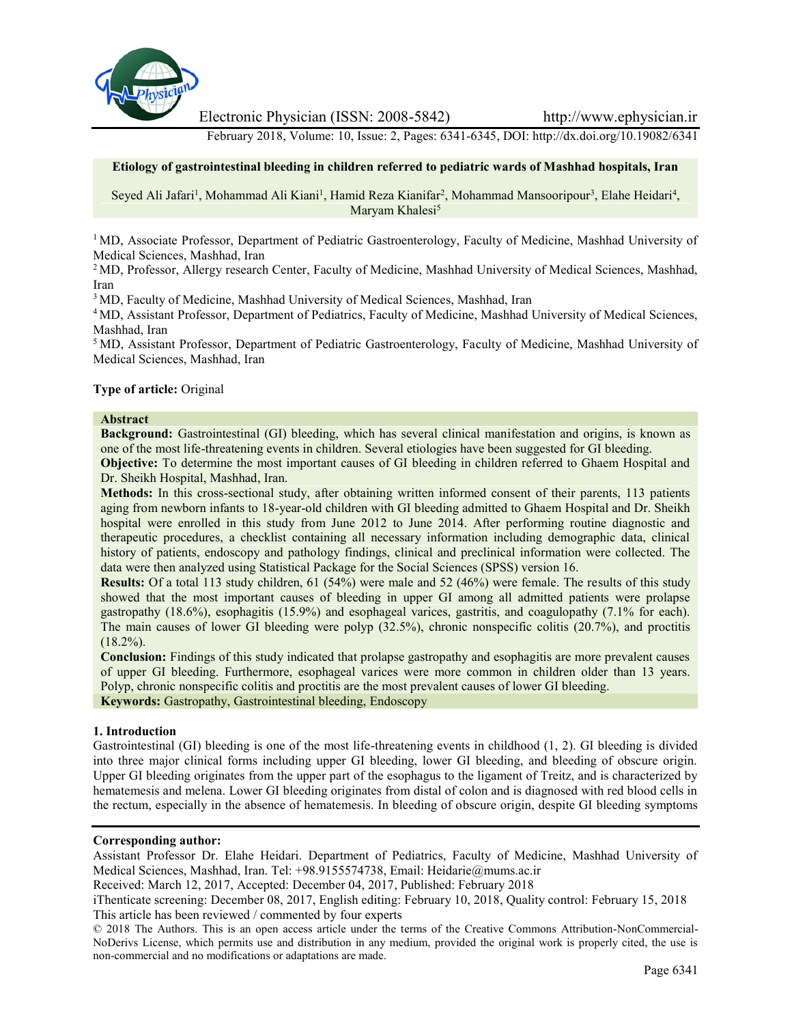

Electronic Physician (ISSN: 2008-5842) http://www.ephysician.ir

February 2018, Volume: 10, Issue: 2, Pages: 6341-6345, DOI: http://dx.doi.org/10.19082/6341

# **Etiology of gastrointestinal bleeding in children referred to pediatric wards of Mashhad hospitals, Iran**

Seyed Ali Jafari<sup>1</sup>, Mohammad Ali Kiani<sup>1</sup>, Hamid Reza Kianifar<sup>2</sup>, Mohammad Mansooripour<sup>3</sup>, Elahe Heidari<sup>4</sup>, Maryam Khalesi<sup>5</sup>

<sup>1</sup> MD, Associate Professor, Department of Pediatric Gastroenterology, Faculty of Medicine, Mashhad University of Medical Sciences, Mashhad, Iran

<sup>2</sup> MD, Professor, Allergy research Center, Faculty of Medicine, Mashhad University of Medical Sciences, Mashhad, Iran

<sup>3</sup> MD, Faculty of Medicine, Mashhad University of Medical Sciences, Mashhad, Iran

<sup>4</sup> MD, Assistant Professor, Department of Pediatrics, Faculty of Medicine, Mashhad University of Medical Sciences, Mashhad, Iran

<sup>5</sup> MD, Assistant Professor, Department of Pediatric Gastroenterology, Faculty of Medicine, Mashhad University of Medical Sciences, Mashhad, Iran

### **Type of article:** Original

### **Abstract**

**Background:** Gastrointestinal (GI) bleeding, which has several clinical manifestation and origins, is known as one of the most life-threatening events in children. Several etiologies have been suggested for GI bleeding.

**Objective:** To determine the most important causes of GI bleeding in children referred to Ghaem Hospital and Dr. Sheikh Hospital, Mashhad, Iran.

**Methods:** In this cross-sectional study, after obtaining written informed consent of their parents, 113 patients aging from newborn infants to 18-year-old children with GI bleeding admitted to Ghaem Hospital and Dr. Sheikh hospital were enrolled in this study from June 2012 to June 2014. After performing routine diagnostic and therapeutic procedures, a checklist containing all necessary information including demographic data, clinical history of patients, endoscopy and pathology findings, clinical and preclinical information were collected. The data were then analyzed using Statistical Package for the Social Sciences (SPSS) version 16.

**Results:** Of a total 113 study children, 61 (54%) were male and 52 (46%) were female. The results of this study showed that the most important causes of bleeding in upper GI among all admitted patients were prolapse gastropathy (18.6%), esophagitis (15.9%) and esophageal varices, gastritis, and coagulopathy (7.1% for each). The main causes of lower GI bleeding were polyp (32.5%), chronic nonspecific colitis (20.7%), and proctitis  $(18.2\%)$ .

**Conclusion:** Findings of this study indicated that prolapse gastropathy and esophagitis are more prevalent causes of upper GI bleeding. Furthermore, esophageal varices were more common in children older than 13 years. Polyp, chronic nonspecific colitis and proctitis are the most prevalent causes of lower GI bleeding. **Keywords:** Gastropathy, Gastrointestinal bleeding, Endoscopy

### **1. Introduction**

Gastrointestinal (GI) bleeding is one of the most life-threatening events in childhood (1, 2). GI bleeding is divided into three major clinical forms including upper GI bleeding, lower GI bleeding, and bleeding of obscure origin. Upper GI bleeding originates from the upper part of the esophagus to the ligament of Treitz, and is characterized by hematemesis and melena. Lower GI bleeding originates from distal of colon and is diagnosed with red blood cells in the rectum, especially in the absence of hematemesis. In bleeding of obscure origin, despite GI bleeding symptoms

### **Corresponding author:**

Assistant Professor Dr. Elahe Heidari. Department of Pediatrics, Faculty of Medicine, Mashhad University of Medical Sciences, Mashhad, Iran. Tel: +98.9155574738, Email: Heidarie@mums.ac.ir

Received: March 12, 2017, Accepted: December 04, 2017, Published: February 2018

iThenticate screening: December 08, 2017, English editing: February 10, 2018, Quality control: February 15, 2018 This article has been reviewed / commented by four experts

<sup>© 2018</sup> The Authors. This is an open access article under the terms of the Creative Commons Attribution-NonCommercial- NoDerivs License, which permits use and distribution in any medium, provided the original work is properly cited, the use is non-commercial and no modifications or adaptations are made.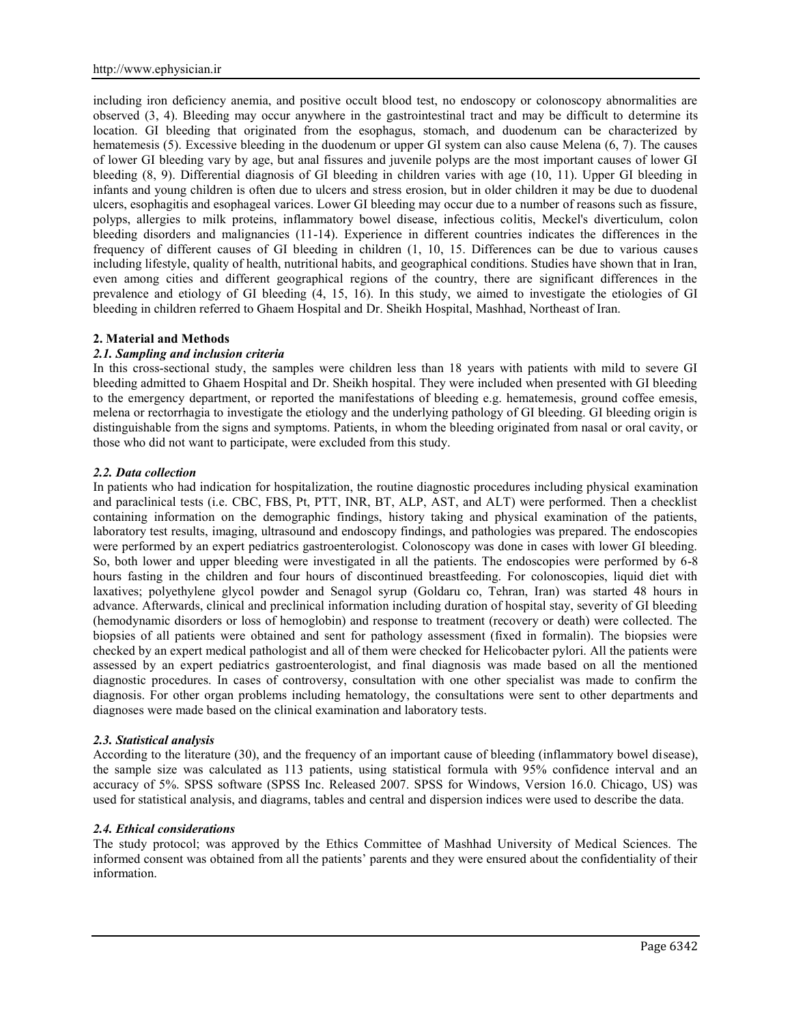including iron deficiency anemia, and positive occult blood test, no endoscopy or colonoscopy abnormalities are observed (3, 4). Bleeding may occur anywhere in the gastrointestinal tract and may be difficult to determine its location. GI bleeding that originated from the esophagus, stomach, and duodenum can be characterized by hematemesis (5). Excessive bleeding in the duodenum or upper GI system can also cause Melena (6, 7). The causes of lower GI bleeding vary by age, but anal fissures and juvenile polyps are the most important causes of lower GI bleeding (8, 9). Differential diagnosis of GI bleeding in children varies with age (10, 11). Upper GI bleeding in infants and young children is often due to ulcers and stress erosion, but in older children it may be due to duodenal ulcers, esophagitis and esophageal varices. Lower GI bleeding may occur due to a number of reasons such as fissure, polyps, allergies to milk proteins, inflammatory bowel disease, infectious colitis, Meckel's diverticulum, colon bleeding disorders and malignancies (11-14). Experience in different countries indicates the differences in the frequency of different causes of GI bleeding in children (1, 10, 15. Differences can be due to various causes including lifestyle, quality of health, nutritional habits, and geographical conditions. Studies have shown that in Iran, even among cities and different geographical regions of the country, there are significant differences in the prevalence and etiology of GI bleeding (4, 15, 16). In this study, we aimed to investigate the etiologies of GI bleeding in children referred to Ghaem Hospital and Dr. Sheikh Hospital, Mashhad, Northeast of Iran.

### **2. Material and Methods**

### *2.1. Sampling and inclusion criteria*

In this cross-sectional study, the samples were children less than 18 years with patients with mild to severe GI bleeding admitted to Ghaem Hospital and Dr. Sheikh hospital. They were included when presented with GI bleeding to the emergency department, or reported the manifestations of bleeding e.g. hematemesis, ground coffee emesis, melena or rectorrhagia to investigate the etiology and the underlying pathology of GI bleeding. GI bleeding origin is distinguishable from the signs and symptoms. Patients, in whom the bleeding originated from nasal or oral cavity, or those who did not want to participate, were excluded from this study.

### *2.2. Data collection*

In patients who had indication for hospitalization, the routine diagnostic procedures including physical examination and paraclinical tests (i.e. CBC, FBS, Pt, PTT, INR, BT, ALP, AST, and ALT) were performed. Then a checklist containing information on the demographic findings, history taking and physical examination of the patients, laboratory test results, imaging, ultrasound and endoscopy findings, and pathologies was prepared. The endoscopies were performed by an expert pediatrics gastroenterologist. Colonoscopy was done in cases with lower GI bleeding. So, both lower and upper bleeding were investigated in all the patients. The endoscopies were performed by 6-8 hours fasting in the children and four hours of discontinued breastfeeding. For colonoscopies, liquid diet with laxatives; polyethylene glycol powder and Senagol syrup (Goldaru co, Tehran, Iran) was started 48 hours in advance. Afterwards, clinical and preclinical information including duration of hospital stay, severity of GI bleeding (hemodynamic disorders or loss of hemoglobin) and response to treatment (recovery or death) were collected. The biopsies of all patients were obtained and sent for pathology assessment (fixed in formalin). The biopsies were checked by an expert medical pathologist and all of them were checked for Helicobacter pylori. All the patients were assessed by an expert pediatrics gastroenterologist, and final diagnosis was made based on all the mentioned diagnostic procedures. In cases of controversy, consultation with one other specialist was made to confirm the diagnosis. For other organ problems including hematology, the consultations were sent to other departments and diagnoses were made based on the clinical examination and laboratory tests.

### *2.3. Statistical analysis*

According to the literature (30), and the frequency of an important cause of bleeding (inflammatory bowel disease), the sample size was calculated as 113 patients, using statistical formula with 95% confidence interval and an accuracy of 5%. SPSS software (SPSS Inc. Released 2007. SPSS for Windows, Version 16.0. Chicago, US) was used for statistical analysis, and diagrams, tables and central and dispersion indices were used to describe the data.

## *2.4. Ethical considerations*

The study protocol; was approved by the Ethics Committee of Mashhad University of Medical Sciences. The informed consent was obtained from all the patients' parents and they were ensured about the confidentiality of their information.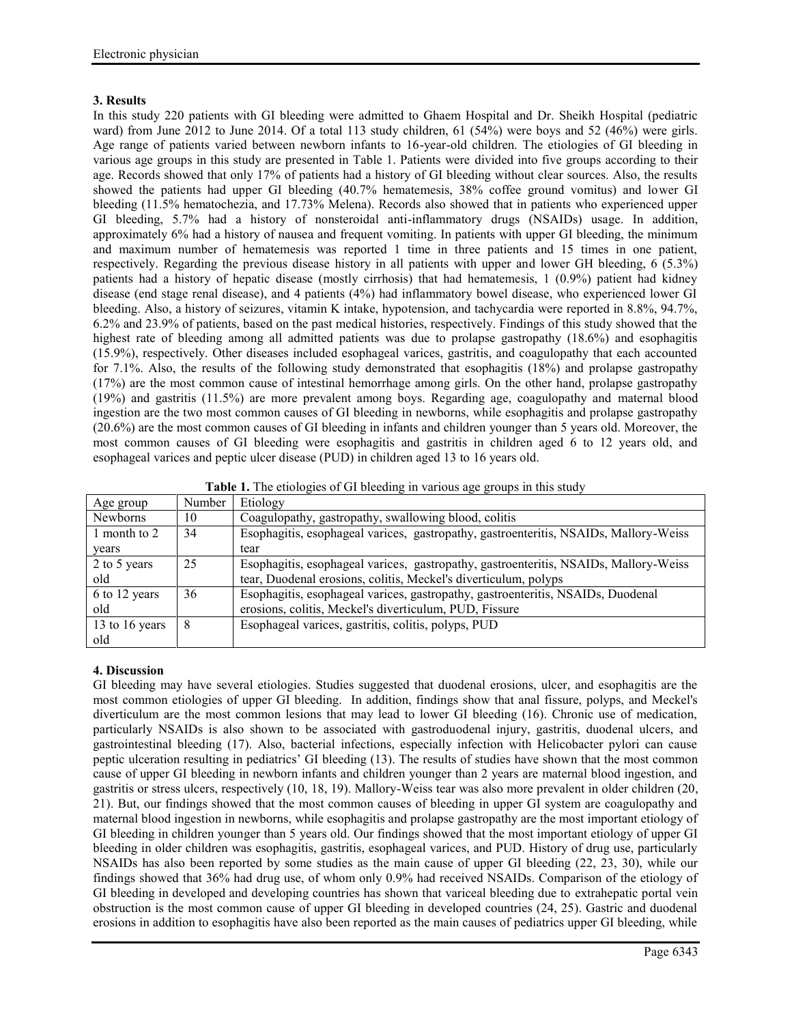## **3. Results**

In this study 220 patients with GI bleeding were admitted to Ghaem Hospital and Dr. Sheikh Hospital (pediatric ward) from June 2012 to June 2014. Of a total 113 study children, 61 (54%) were boys and 52 (46%) were girls. Age range of patients varied between newborn infants to 16-year-old children. The etiologies of GI bleeding in various age groups in this study are presented in Table 1. Patients were divided into five groups according to their age. Records showed that only 17% of patients had a history of GI bleeding without clear sources. Also, the results showed the patients had upper GI bleeding (40.7% hematemesis, 38% coffee ground vomitus) and lower GI bleeding (11.5% hematochezia, and 17.73% Melena). Records also showed that in patients who experienced upper GI bleeding, 5.7% had a history of nonsteroidal anti-inflammatory drugs (NSAIDs) usage. In addition, approximately 6% had a history of nausea and frequent vomiting. In patients with upper GI bleeding, the minimum and maximum number of hematemesis was reported 1 time in three patients and 15 times in one patient, respectively. Regarding the previous disease history in all patients with upper and lower GH bleeding, 6 (5.3%) patients had a history of hepatic disease (mostly cirrhosis) that had hematemesis, 1 (0.9%) patient had kidney disease (end stage renal disease), and 4 patients (4%) had inflammatory bowel disease, who experienced lower GI bleeding. Also, a history of seizures, vitamin K intake, hypotension, and tachycardia were reported in 8.8%, 94.7%, 6.2% and 23.9% of patients, based on the past medical histories, respectively. Findings of this study showed that the highest rate of bleeding among all admitted patients was due to prolapse gastropathy (18.6%) and esophagitis (15.9%), respectively. Other diseases included esophageal varices, gastritis, and coagulopathy that each accounted for 7.1%. Also, the results of the following study demonstrated that esophagitis (18%) and prolapse gastropathy (17%) are the most common cause of intestinal hemorrhage among girls. On the other hand, prolapse gastropathy (19%) and gastritis (11.5%) are more prevalent among boys. Regarding age, coagulopathy and maternal blood ingestion are the two most common causes of GI bleeding in newborns, while esophagitis and prolapse gastropathy (20.6%) are the most common causes of GI bleeding in infants and children younger than 5 years old. Moreover, the most common causes of GI bleeding were esophagitis and gastritis in children aged 6 to 12 years old, and esophageal varices and peptic ulcer disease (PUD) in children aged 13 to 16 years old.

| <b>Table 1.</b> The etiologies of GI bleeding in various age groups in this study |
|-----------------------------------------------------------------------------------|
|-----------------------------------------------------------------------------------|

| Age group      | Number | Etiology                                                                             |
|----------------|--------|--------------------------------------------------------------------------------------|
| Newborns       | 10     | Coagulopathy, gastropathy, swallowing blood, colitis                                 |
| 1 month to 2   | 34     | Esophagitis, esophageal varices, gastropathy, gastroenteritis, NSAIDs, Mallory-Weiss |
| years          |        | tear                                                                                 |
| 2 to 5 years   | 25     | Esophagitis, esophageal varices, gastropathy, gastroenteritis, NSAIDs, Mallory-Weiss |
| old            |        | tear, Duodenal erosions, colitis, Meckel's diverticulum, polyps                      |
| 6 to 12 years  | 36     | Esophagitis, esophageal varices, gastropathy, gastroenteritis, NSAIDs, Duodenal      |
| old            |        | erosions, colitis, Meckel's diverticulum, PUD, Fissure                               |
| 13 to 16 years | - 8    | Esophageal varices, gastritis, colitis, polyps, PUD                                  |
| old            |        |                                                                                      |

## **4. Discussion**

GI bleeding may have several etiologies. Studies suggested that duodenal erosions, ulcer, and esophagitis are the most common etiologies of upper GI bleeding. In addition, findings show that anal fissure, polyps, and Meckel's diverticulum are the most common lesions that may lead to lower GI bleeding (16). Chronic use of medication, particularly NSAIDs is also shown to be associated with gastroduodenal injury, gastritis, duodenal ulcers, and gastrointestinal bleeding (17). Also, bacterial infections, especially infection with Helicobacter pylori can cause peptic ulceration resulting in pediatrics' GI bleeding (13). The results of studies have shown that the most common cause of upper GI bleeding in newborn infants and children younger than 2 years are maternal blood ingestion, and gastritis or stress ulcers, respectively (10, 18, 19). Mallory-Weiss tear was also more prevalent in older children (20, 21). But, our findings showed that the most common causes of bleeding in upper GI system are coagulopathy and maternal blood ingestion in newborns, while esophagitis and prolapse gastropathy are the most important etiology of GI bleeding in children younger than 5 years old. Our findings showed that the most important etiology of upper GI bleeding in older children was esophagitis, gastritis, esophageal varices, and PUD. History of drug use, particularly NSAIDs has also been reported by some studies as the main cause of upper GI bleeding (22, 23, 30), while our findings showed that 36% had drug use, of whom only 0.9% had received NSAIDs. Comparison of the etiology of GI bleeding in developed and developing countries has shown that variceal bleeding due to extrahepatic portal vein obstruction is the most common cause of upper GI bleeding in developed countries (24, 25). Gastric and duodenal erosions in addition to esophagitis have also been reported as the main causes of pediatrics upper GI bleeding, while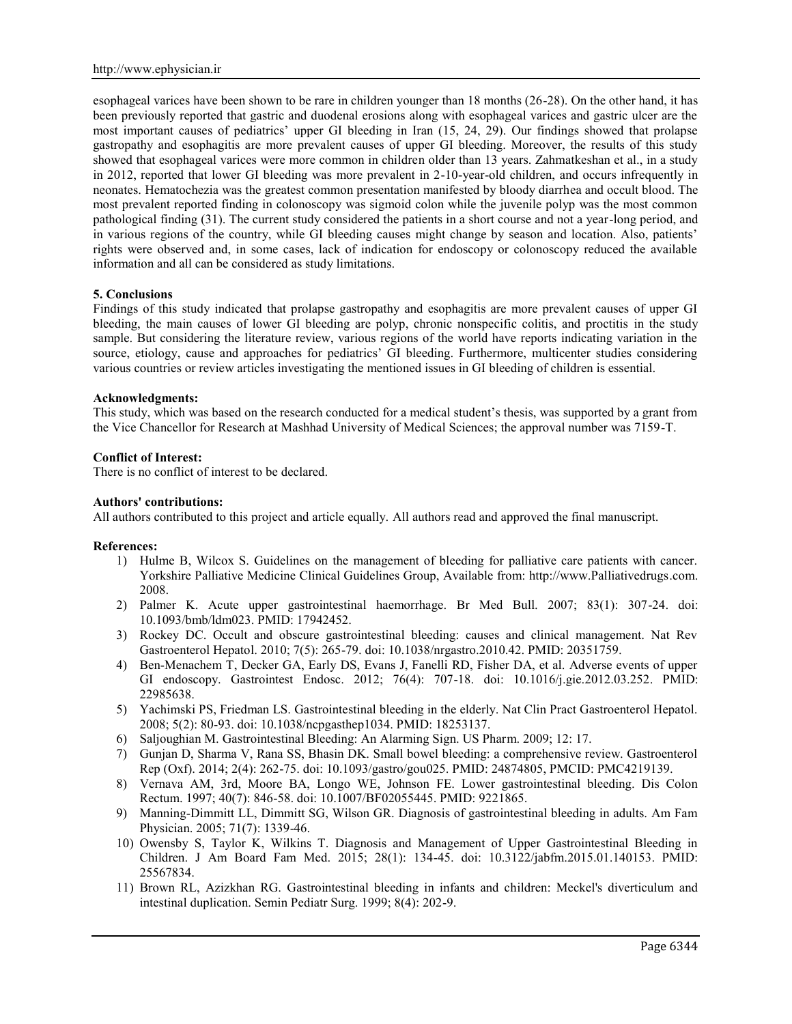esophageal varices have been shown to be rare in children younger than 18 months (26-28). On the other hand, it has been previously reported that gastric and duodenal erosions along with esophageal varices and gastric ulcer are the most important causes of pediatrics' upper GI bleeding in Iran (15, 24, 29). Our findings showed that prolapse gastropathy and esophagitis are more prevalent causes of upper GI bleeding. Moreover, the results of this study showed that esophageal varices were more common in children older than 13 years. Zahmatkeshan et al., in a study in 2012, reported that lower GI bleeding was more prevalent in 2-10-year-old children, and occurs infrequently in neonates. Hematochezia was the greatest common presentation manifested by bloody diarrhea and occult blood. The most prevalent reported finding in colonoscopy was sigmoid colon while the juvenile polyp was the most common pathological finding (31). The current study considered the patients in a short course and not a year-long period, and in various regions of the country, while GI bleeding causes might change by season and location. Also, patients' rights were observed and, in some cases, lack of indication for endoscopy or colonoscopy reduced the available information and all can be considered as study limitations.

### **5. Conclusions**

Findings of this study indicated that prolapse gastropathy and esophagitis are more prevalent causes of upper GI bleeding, the main causes of lower GI bleeding are polyp, chronic nonspecific colitis, and proctitis in the study sample. But considering the literature review, various regions of the world have reports indicating variation in the source, etiology, cause and approaches for pediatrics' GI bleeding. Furthermore, multicenter studies considering various countries or review articles investigating the mentioned issues in GI bleeding of children is essential.

### **Acknowledgments:**

This study, which was based on the research conducted for a medical student's thesis, was supported by a grant from the Vice Chancellor for Research at Mashhad University of Medical Sciences; the approval number was 7159-T.

### **Conflict of Interest:**

There is no conflict of interest to be declared.

### **Authors' contributions:**

All authors contributed to this project and article equally. All authors read and approved the final manuscript.

### **References:**

- 1) Hulme B, Wilcox S. Guidelines on the management of bleeding for palliative care patients with cancer. Yorkshire Palliative Medicine Clinical Guidelines Group, Available from: http://www.Palliativedrugs.com. 2008.
- 2) Palmer K. Acute upper gastrointestinal haemorrhage. Br Med Bull. 2007; 83(1): 307-24. doi: 10.1093/bmb/ldm023. PMID: 17942452.
- 3) Rockey DC. Occult and obscure gastrointestinal bleeding: causes and clinical management. Nat Rev Gastroenterol Hepatol. 2010; 7(5): 265-79. doi: 10.1038/nrgastro.2010.42. PMID: 20351759.
- 4) Ben-Menachem T, Decker GA, Early DS, Evans J, Fanelli RD, Fisher DA, et al. Adverse events of upper GI endoscopy. Gastrointest Endosc. 2012; 76(4): 707-18. doi: 10.1016/j.gie.2012.03.252. PMID: 22985638.
- 5) Yachimski PS, Friedman LS. Gastrointestinal bleeding in the elderly. Nat Clin Pract Gastroenterol Hepatol. 2008; 5(2): 80-93. doi: 10.1038/ncpgasthep1034. PMID: 18253137.
- 6) Saljoughian M. Gastrointestinal Bleeding: An Alarming Sign. US Pharm. 2009; 12: 17.
- 7) Gunjan D, Sharma V, Rana SS, Bhasin DK. Small bowel bleeding: a comprehensive review. Gastroenterol Rep (Oxf). 2014; 2(4): 262-75. doi: 10.1093/gastro/gou025. PMID: 24874805, PMCID: PMC4219139.
- 8) Vernava AM, 3rd, Moore BA, Longo WE, Johnson FE. Lower gastrointestinal bleeding. Dis Colon Rectum. 1997; 40(7): 846-58. doi: 10.1007/BF02055445. PMID: 9221865.
- 9) Manning-Dimmitt LL, Dimmitt SG, Wilson GR. Diagnosis of gastrointestinal bleeding in adults. Am Fam Physician. 2005; 71(7): 1339-46.
- 10) Owensby S, Taylor K, Wilkins T. Diagnosis and Management of Upper Gastrointestinal Bleeding in Children. J Am Board Fam Med. 2015; 28(1): 134-45. doi: 10.3122/jabfm.2015.01.140153. PMID: 25567834.
- 11) Brown RL, Azizkhan RG. Gastrointestinal bleeding in infants and children: Meckel's diverticulum and intestinal duplication. Semin Pediatr Surg. 1999; 8(4): 202-9.